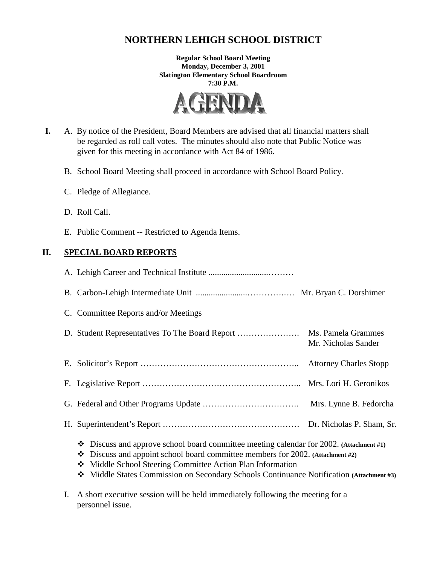# **NORTHERN LEHIGH SCHOOL DISTRICT**

**Regular School Board Meeting Monday, December 3, 2001 Slatington Elementary School Boardroom 7:30 P.M.** 



- **I.** A. By notice of the President, Board Members are advised that all financial matters shall be regarded as roll call votes. The minutes should also note that Public Notice was given for this meeting in accordance with Act 84 of 1986.
	- B. School Board Meeting shall proceed in accordance with School Board Policy.
	- C. Pledge of Allegiance.
	- D. Roll Call.
	- E. Public Comment -- Restricted to Agenda Items.

# **II. SPECIAL BOARD REPORTS**

| C. Committee Reports and/or Meetings                                                                                                                                                                                                                                                                                                       |                     |  |
|--------------------------------------------------------------------------------------------------------------------------------------------------------------------------------------------------------------------------------------------------------------------------------------------------------------------------------------------|---------------------|--|
|                                                                                                                                                                                                                                                                                                                                            | Mr. Nicholas Sander |  |
|                                                                                                                                                                                                                                                                                                                                            |                     |  |
|                                                                                                                                                                                                                                                                                                                                            |                     |  |
|                                                                                                                                                                                                                                                                                                                                            |                     |  |
|                                                                                                                                                                                                                                                                                                                                            |                     |  |
| Discuss and approve school board committee meeting calendar for 2002. (Attachment #1)<br>❖<br>Discuss and appoint school board committee members for 2002. (Attachment #2)<br>❖<br>Middle School Steering Committee Action Plan Information<br>Middle States Commission on Secondary Schools Continuance Notification (Attachment #3)<br>❖ |                     |  |

I. A short executive session will be held immediately following the meeting for a personnel issue.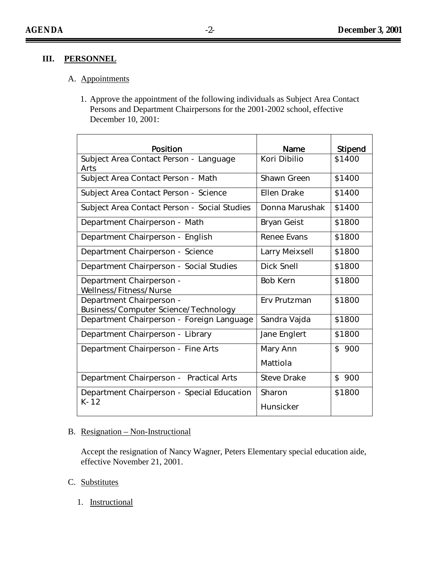# **III. PERSONNEL**

# A. Appointments

1. Approve the appointment of the following individuals as Subject Area Contact Persons and Department Chairpersons for the 2001-2002 school, effective December 10, 2001:

| Position                                                         | Name            | Stipend |
|------------------------------------------------------------------|-----------------|---------|
| Subject Area Contact Person - Language<br>Arts                   | Kori Dibilio    | \$1400  |
| Subject Area Contact Person - Math                               | Shawn Green     | \$1400  |
| Subject Area Contact Person - Science                            | Ellen Drake     | \$1400  |
| Subject Area Contact Person - Social Studies                     | Donna Marushak  | \$1400  |
| Department Chairperson - Math                                    | Bryan Geist     | \$1800  |
| Department Chairperson - English                                 | Renee Evans     | \$1800  |
| Department Chairperson - Science                                 | Larry Meixsell  | \$1800  |
| Department Chairperson - Social Studies                          | Dick Snell      | \$1800  |
| Department Chairperson -<br>Wellness/Fitness/Nurse               | <b>Bob Kern</b> | \$1800  |
| Department Chairperson -<br>Business/Computer Science/Technology | Erv Prutzman    | \$1800  |
| Department Chairperson - Foreign Language                        | Sandra Vajda    | \$1800  |
| Department Chairperson - Library                                 | Jane Englert    | \$1800  |
| Department Chairperson - Fine Arts                               | Mary Ann        | \$900   |
|                                                                  | Mattiola        |         |
| Department Chairperson - Practical Arts                          | Steve Drake     | \$ 900  |
| Department Chairperson - Special Education                       | Sharon          | \$1800  |
| $K-12$                                                           | Hunsicker       |         |

#### B. Resignation – Non-Instructional

Accept the resignation of Nancy Wagner, Peters Elementary special education aide, effective November 21, 2001.

# C. Substitutes

1. Instructional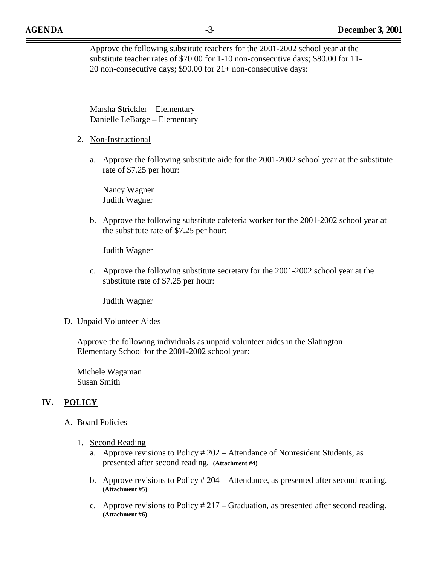Approve the following substitute teachers for the 2001-2002 school year at the substitute teacher rates of \$70.00 for 1-10 non-consecutive days; \$80.00 for 11- 20 non-consecutive days; \$90.00 for 21+ non-consecutive days:

 Marsha Strickler – Elementary Danielle LeBarge – Elementary

- 2. Non-Instructional
	- a. Approve the following substitute aide for the 2001-2002 school year at the substitute rate of \$7.25 per hour:

 Nancy Wagner Judith Wagner

b. Approve the following substitute cafeteria worker for the 2001-2002 school year at the substitute rate of \$7.25 per hour:

Judith Wagner

c. Approve the following substitute secretary for the 2001-2002 school year at the substitute rate of \$7.25 per hour:

Judith Wagner

#### D. Unpaid Volunteer Aides

Approve the following individuals as unpaid volunteer aides in the Slatington Elementary School for the 2001-2002 school year:

Michele Wagaman Susan Smith

# **IV. POLICY**

- A. Board Policies
	- 1. Second Reading
		- a. Approve revisions to Policy # 202 Attendance of Nonresident Students, as presented after second reading. **(Attachment #4)**
		- b. Approve revisions to Policy # 204 Attendance, as presented after second reading. **(Attachment #5)**
		- c. Approve revisions to Policy # 217 Graduation, as presented after second reading. **(Attachment #6)**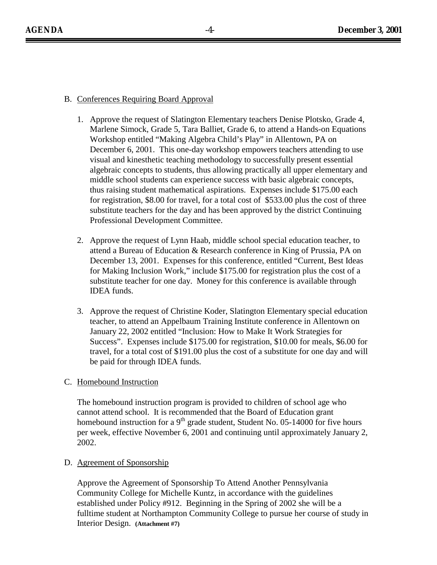## B. Conferences Requiring Board Approval

- 1. Approve the request of Slatington Elementary teachers Denise Plotsko, Grade 4, Marlene Simock, Grade 5, Tara Balliet, Grade 6, to attend a Hands-on Equations Workshop entitled "Making Algebra Child's Play" in Allentown, PA on December 6, 2001. This one-day workshop empowers teachers attending to use visual and kinesthetic teaching methodology to successfully present essential algebraic concepts to students, thus allowing practically all upper elementary and middle school students can experience success with basic algebraic concepts, thus raising student mathematical aspirations. Expenses include \$175.00 each for registration, \$8.00 for travel, for a total cost of \$533.00 plus the cost of three substitute teachers for the day and has been approved by the district Continuing Professional Development Committee.
- 2. Approve the request of Lynn Haab, middle school special education teacher, to attend a Bureau of Education & Research conference in King of Prussia, PA on December 13, 2001. Expenses for this conference, entitled "Current, Best Ideas for Making Inclusion Work," include \$175.00 for registration plus the cost of a substitute teacher for one day. Money for this conference is available through IDEA funds.
- 3. Approve the request of Christine Koder, Slatington Elementary special education teacher, to attend an Appelbaum Training Institute conference in Allentown on January 22, 2002 entitled "Inclusion: How to Make It Work Strategies for Success". Expenses include \$175.00 for registration, \$10.00 for meals, \$6.00 for travel, for a total cost of \$191.00 plus the cost of a substitute for one day and will be paid for through IDEA funds.

# C. Homebound Instruction

The homebound instruction program is provided to children of school age who cannot attend school. It is recommended that the Board of Education grant homebound instruction for a  $9<sup>th</sup>$  grade student, Student No. 05-14000 for five hours per week, effective November 6, 2001 and continuing until approximately January 2, 2002.

#### D. Agreement of Sponsorship

Approve the Agreement of Sponsorship To Attend Another Pennsylvania Community College for Michelle Kuntz, in accordance with the guidelines established under Policy #912. Beginning in the Spring of 2002 she will be a fulltime student at Northampton Community College to pursue her course of study in Interior Design. **(Attachment #7)**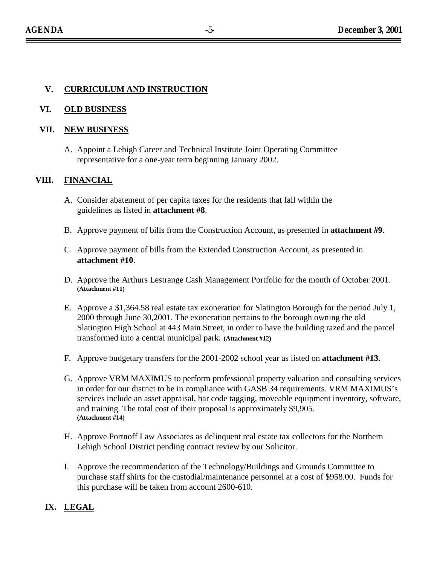# **V. CURRICULUM AND INSTRUCTION**

#### **VI. OLD BUSINESS**

#### **VII. NEW BUSINESS**

A. Appoint a Lehigh Career and Technical Institute Joint Operating Committee representative for a one-year term beginning January 2002.

#### **VIII. FINANCIAL**

- A. Consider abatement of per capita taxes for the residents that fall within the guidelines as listed in **attachment #8**.
- B. Approve payment of bills from the Construction Account, as presented in **attachment #9**.
- C. Approve payment of bills from the Extended Construction Account, as presented in **attachment #10**.
- D. Approve the Arthurs Lestrange Cash Management Portfolio for the month of October 2001. **(Attachment #11)**
- E. Approve a \$1,364.58 real estate tax exoneration for Slatington Borough for the period July 1, 2000 through June 30,2001. The exoneration pertains to the borough owning the old Slatington High School at 443 Main Street, in order to have the building razed and the parcel transformed into a central municipal park**. (Attachment #12)**
- F. Approve budgetary transfers for the 2001-2002 school year as listed on **attachment #13.**
- G. Approve VRM MAXIMUS to perform professional property valuation and consulting services in order for our district to be in compliance with GASB 34 requirements. VRM MAXIMUS's services include an asset appraisal, bar code tagging, moveable equipment inventory, software, and training. The total cost of their proposal is approximately \$9,905. **(Attachment #14)**
- H. Approve Portnoff Law Associates as delinquent real estate tax collectors for the Northern Lehigh School District pending contract review by our Solicitor.
- I. Approve the recommendation of the Technology/Buildings and Grounds Committee to purchase staff shirts for the custodial/maintenance personnel at a cost of \$958.00. Funds for this purchase will be taken from account 2600-610.

#### **IX. LEGAL**